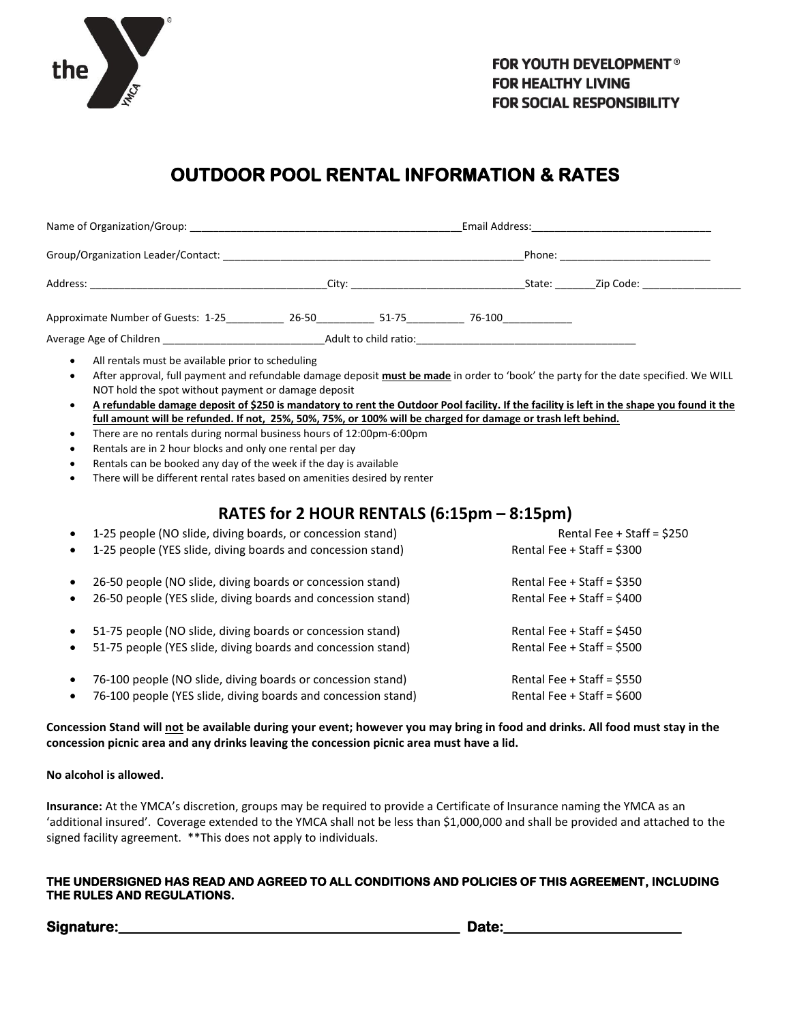

# **OUTDOOR POOL RENTAL INFORMATION & RATES**

|                                    |                                                                                                                                                                                                                                | Email Address: |                     |        |  |  |
|------------------------------------|--------------------------------------------------------------------------------------------------------------------------------------------------------------------------------------------------------------------------------|----------------|---------------------|--------|--|--|
|                                    |                                                                                                                                                                                                                                |                | Phone:              |        |  |  |
| Address:                           | City: the contract of the contract of the contract of the contract of the contract of the contract of the contract of the contract of the contract of the contract of the contract of the contract of the contract of the cont |                | State:<br>Zip Code: |        |  |  |
| Approximate Number of Guests: 1-25 | 26-50                                                                                                                                                                                                                          | 51-75          |                     | 76-100 |  |  |
| Average Age of Children            | Adult to child ratio:                                                                                                                                                                                                          |                |                     |        |  |  |

All rentals must be available prior to scheduling

- After approval, full payment and refundable damage deposit **must be made** in order to 'book' the party for the date specified. We WILL NOT hold the spot without payment or damage deposit
- **A refundable damage deposit of \$250 is mandatory to rent the Outdoor Pool facility. If the facility is left in the shape you found it the full amount will be refunded. If not, 25%, 50%, 75%, or 100% will be charged for damage or trash left behind.**
- There are no rentals during normal business hours of 12:00pm-6:00pm
- Rentals are in 2 hour blocks and only one rental per day
- Rentals can be booked any day of the week if the day is available
- There will be different rental rates based on amenities desired by renter

### **RATES for 2 HOUR RENTALS (6:15pm – 8:15pm)**

| $\bullet$ | 1-25 people (NO slide, diving boards, or concession stand)    | Rental Fee + Staff = $$250$  |
|-----------|---------------------------------------------------------------|------------------------------|
| $\bullet$ | 1-25 people (YES slide, diving boards and concession stand)   | Rental Fee + Staff = \$300   |
| $\bullet$ | 26-50 people (NO slide, diving boards or concession stand)    | Rental Fee $+$ Staff = \$350 |
| $\bullet$ | 26-50 people (YES slide, diving boards and concession stand)  | Rental Fee + Staff = $$400$  |
| $\bullet$ | 51-75 people (NO slide, diving boards or concession stand)    | Rental Fee $+$ Staff = \$450 |
| $\bullet$ | 51-75 people (YES slide, diving boards and concession stand)  | Rental Fee + Staff = $$500$  |
| $\bullet$ | 76-100 people (NO slide, diving boards or concession stand)   | Rental Fee $+$ Staff = \$550 |
| $\bullet$ | 76-100 people (YES slide, diving boards and concession stand) | Rental Fee + Staff = $$600$  |
|           |                                                               |                              |

**Concession Stand will not be available during your event; however you may bring in food and drinks. All food must stay in the concession picnic area and any drinks leaving the concession picnic area must have a lid.**

**No alcohol is allowed.**

**Insurance:** At the YMCA's discretion, groups may be required to provide a Certificate of Insurance naming the YMCA as an 'additional insured'. Coverage extended to the YMCA shall not be less than \$1,000,000 and shall be provided and attached to the signed facility agreement. \*\*This does not apply to individuals.

#### **THE UNDERSIGNED HAS READ AND AGREED TO ALL CONDITIONS AND POLICIES OF THIS AGREEMENT, INCLUDING THE RULES AND REGULATIONS.**

Signature: with the state of the state of the state of the state of the state of the state of the state of the state of the state of the state of the state of the state of the state of the state of the state of the state o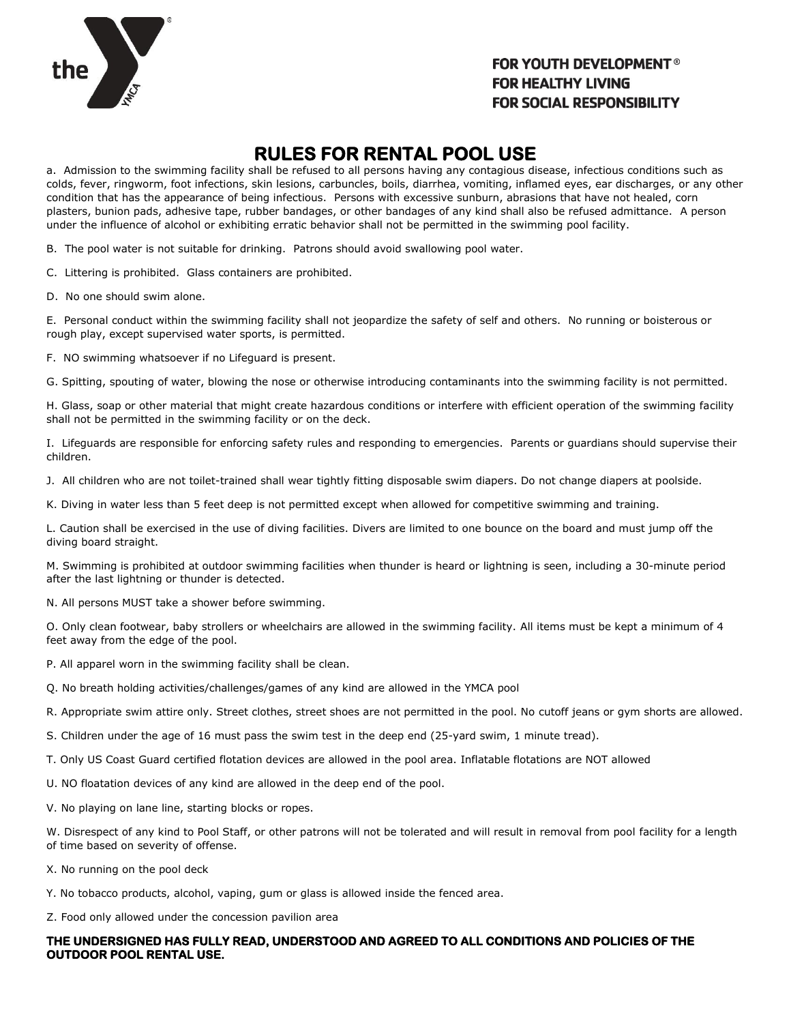

#### **FOR YOUTH DEVELOPMENT<sup>®</sup> FOR HEALTHY LIVING FOR SOCIAL RESPONSIBILITY**

### **RULES FOR RENTAL POOL USE**

a. Admission to the swimming facility shall be refused to all persons having any contagious disease, infectious conditions such as colds, fever, ringworm, foot infections, skin lesions, carbuncles, boils, diarrhea, vomiting, inflamed eyes, ear discharges, or any other condition that has the appearance of being infectious. Persons with excessive sunburn, abrasions that have not healed, corn plasters, bunion pads, adhesive tape, rubber bandages, or other bandages of any kind shall also be refused admittance. A person under the influence of alcohol or exhibiting erratic behavior shall not be permitted in the swimming pool facility.

B. The pool water is not suitable for drinking. Patrons should avoid swallowing pool water.

C. Littering is prohibited. Glass containers are prohibited.

D. No one should swim alone.

E. Personal conduct within the swimming facility shall not jeopardize the safety of self and others. No running or boisterous or rough play, except supervised water sports, is permitted.

F. NO swimming whatsoever if no Lifeguard is present.

G. Spitting, spouting of water, blowing the nose or otherwise introducing contaminants into the swimming facility is not permitted.

H. Glass, soap or other material that might create hazardous conditions or interfere with efficient operation of the swimming facility shall not be permitted in the swimming facility or on the deck.

I. Lifeguards are responsible for enforcing safety rules and responding to emergencies. Parents or guardians should supervise their children.

J. All children who are not toilet-trained shall wear tightly fitting disposable swim diapers. Do not change diapers at poolside.

K. Diving in water less than 5 feet deep is not permitted except when allowed for competitive swimming and training.

L. Caution shall be exercised in the use of diving facilities. Divers are limited to one bounce on the board and must jump off the diving board straight.

M. Swimming is prohibited at outdoor swimming facilities when thunder is heard or lightning is seen, including a 30-minute period after the last lightning or thunder is detected.

N. All persons MUST take a shower before swimming.

O. Only clean footwear, baby strollers or wheelchairs are allowed in the swimming facility. All items must be kept a minimum of 4 feet away from the edge of the pool.

P. All apparel worn in the swimming facility shall be clean.

Q. No breath holding activities/challenges/games of any kind are allowed in the YMCA pool

R. Appropriate swim attire only. Street clothes, street shoes are not permitted in the pool. No cutoff jeans or gym shorts are allowed.

S. Children under the age of 16 must pass the swim test in the deep end (25-yard swim, 1 minute tread).

T. Only US Coast Guard certified flotation devices are allowed in the pool area. Inflatable flotations are NOT allowed

U. NO floatation devices of any kind are allowed in the deep end of the pool.

V. No playing on lane line, starting blocks or ropes.

W. Disrespect of any kind to Pool Staff, or other patrons will not be tolerated and will result in removal from pool facility for a length of time based on severity of offense.

X. No running on the pool deck

Y. No tobacco products, alcohol, vaping, gum or glass is allowed inside the fenced area.

Z. Food only allowed under the concession pavilion area

#### **THE UNDERSIGNED HAS FULLY READ, UNDERSTOOD AND AGREED TO ALL CONDITIONS AND POLICIES OF THE OUTDOOR POOL RENTAL USE.**